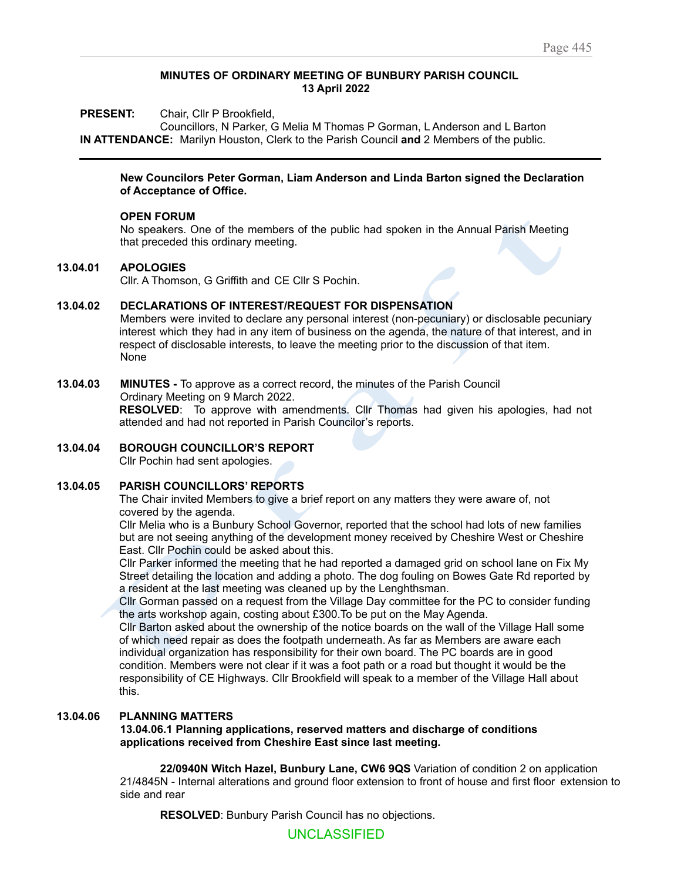#### **MINUTES OF ORDINARY MEETING OF BUNBURY PARISH COUNCIL 13 April 2022**

**PRESENT:** Chair, Cllr P Brookfield,

Councillors, N Parker, G Melia M Thomas P Gorman, L Anderson and L Barton **IN ATTENDANCE:** Marilyn Houston, Clerk to the Parish Council **and** 2 Members of the public.

#### **New Councilors Peter Gorman, Liam Anderson and Linda Barton signed the Declaration of Acceptance of Office.**

#### **OPEN FORUM**

No speakers. One of the members of the public had spoken in the Annual Parish Meeting that preceded this ordinary meeting.

#### **13.04.01 APOLOGIES**

Cllr. A Thomson, G Griffith and CE Cllr S Pochin.

## **13.04.02 DECLARATIONS OF INTEREST/REQUEST FOR DISPENSATION**

ENSATION<br>on-pecuniary) or disc<br>enda, the nature of the<br>to the discussion of Annual Parish Meeting<br>
y) or disclosable pecu<br>
ature of that interest, a<br>
ussion of that item. Members were invited to declare any personal interest (non-pecuniary) or disclosable pecuniary interest which they had in any item of business on the agenda, the nature of that interest, and in respect of disclosable interests, to leave the meeting prior to the discussion of that item. None

#### **13.04.03 MINUTES -** To approve as a correct record, the minutes of the Parish Council Ordinary Meeting on 9 March 2022.

d, the minutes of th<br>ents. Cllr Thomas<br>ouncilor's reports. **RESOLVED**: To approve with amendments. Cllr Thomas had given his apologies, had not attended and had not reported in Parish Councilor's reports.

## **13.04.04 BOROUGH COUNCILLOR'S REPORT**

Cllr Pochin had sent apologies.

## **13.04.05 PARISH COUNCILLORS' REPORTS**

The Chair invited Members to give a brief report on any matters they were aware of, not covered by the agenda.

Cllr Melia who is a Bunbury School Governor, reported that the school had lots of new families but are not seeing anything of the development money received by Cheshire West or Cheshire East. Cllr Pochin could be asked about this.

Cllr Parker informed the meeting that he had reported a damaged grid on school lane on Fix My Street detailing the location and adding a photo. The dog fouling on Bowes Gate Rd reported by a resident at the last meeting was cleaned up by the Lenghthsman.

Cllr Gorman passed on a request from the Village Day committee for the PC to consider funding the arts workshop again, costing about £300.To be put on the May Agenda.

but are not seeing anythi<br>but are not seeing anythi<br>East. Cllr Pochin could b<br>Cllr Parker informed the i<br>Street detailing the locati<br>a resident at the last mee<br>Cllr Gorman passed on a<br>the arts workshop again,<br>Cllr Barton a nin had sent apologies.<br> **COUNCILLORS' REPORTS**<br>
ir invited Members to give a brief<br>
by the agenda.<br>
a who is a Bunbury School Gover<br>
not seeing anything of the develop<br>
r Pochin could be asked about thi<br>
ier informed the Cllr Barton asked about the ownership of the notice boards on the wall of the Village Hall some of which need repair as does the footpath underneath. As far as Members are aware each individual organization has responsibility for their own board. The PC boards are in good condition. Members were not clear if it was a foot path or a road but thought it would be the responsibility of CE Highways. Cllr Brookfield will speak to a member of the Village Hall about this.

# **13.04.06 PLANNING MATTERS**

**13.04.06.1 Planning applications, reserved matters and discharge of conditions applications received from Cheshire East since last meeting.**

**22/0940N Witch Hazel, Bunbury Lane, CW6 9QS** Variation of condition 2 on application 21/4845N - Internal alterations and ground floor extension to front of house and first floor extension to side and rear

**RESOLVED**: Bunbury Parish Council has no objections.

UNCLASSIFIED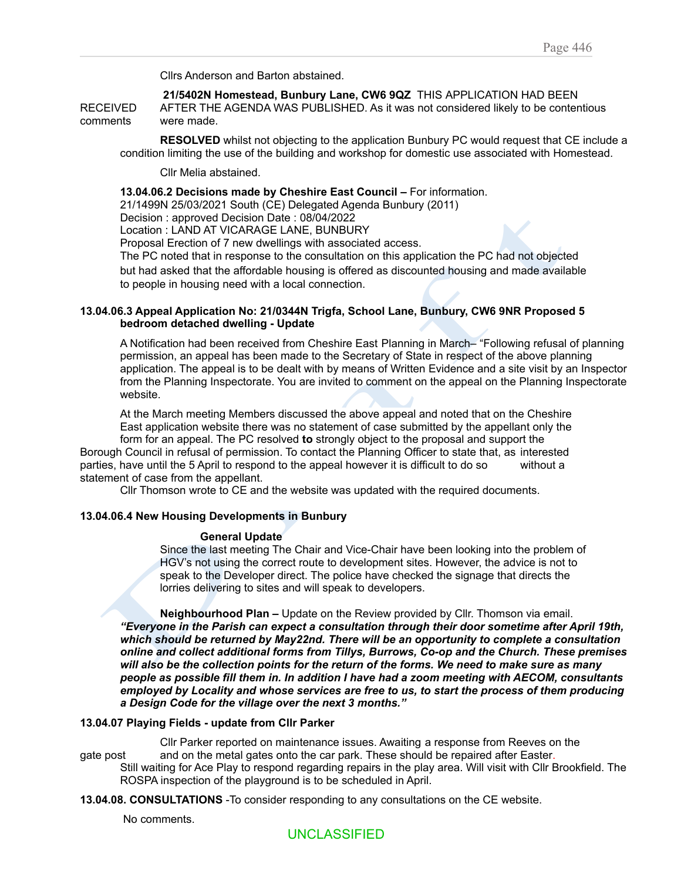Cllrs Anderson and Barton abstained.

**21/5402N Homestead, Bunbury Lane, CW6 9QZ** THIS APPLICATION HAD BEEN RECEIVED AFTER THE AGENDA WAS PUBLISHED. As it was not considered likely to be contentious comments were made.

**RESOLVED** whilst not objecting to the application Bunbury PC would request that CE include a condition limiting the use of the building and workshop for domestic use associated with Homestead.

Cllr Melia abstained.

## **13.04.06.2 Decisions made by Cheshire East Council –** For information.

21/1499N 25/03/2021 South (CE) Delegated Agenda Bunbury (2011)

Decision : approved Decision Date : 08/04/2022

Location : LAND AT VICARAGE LANE, BUNBURY

Proposal Erection of 7 new dwellings with associated access.

the PC had not object<br>pusing and made availations<br>was a small and the same of the spect of the above plan<br>spect of the above plan The PC noted that in response to the consultation on this application the PC had not objected to people in housing need with a local connection.

#### **13.04.06.3 Appeal Application No: 21/0344N Trigfa, School Lane, Bunbury, CW6 9NR Proposed 5 bedroom detached dwelling - Update**

by means of Writte<br>vited to comment of<br>the above appeal<br>ement of case sub<br>ongly object to the<br>ct the Planning Off but had asked that the affordable housing is offered as discounted housing and made available<br>to people in housing need with a local connection.<br>5.3 Appeal Application No: 21/0344N Trigfa, School Lane, Bunbury, CW6 9NR Pro A Notification had been received from Cheshire East Planning in March– "Following refusal of planning permission, an appeal has been made to the Secretary of State in respect of the above planning application. The appeal is to be dealt with by means of Written Evidence and a site visit by an Inspector from the Planning Inspectorate. You are invited to comment on the appeal on the Planning Inspectorate website.

At the March meeting Members discussed the above appeal and noted that on the Cheshire East application website there was no statement of case submitted by the appellant only the form for an appeal. The PC resolved **to** strongly object to the proposal and support the

 parties, have until the 5 April to respond to the appeal however it is difficult to do so without a Borough Council in refusal of permission. To contact the Planning Officer to state that, as interested statement of case from the appellant.

Cllr Thomson wrote to CE and the website was updated with the required documents.

## **13.04.06.4 New Housing Developments in Bunbury**

#### **General Update**

Since the last meeting The Chair and Vice-Chair have been looking into the problem of HGV's not using the correct route to development sites. However, the advice is not to speak to the Developer direct. The police have checked the signage that directs the lorries delivering to sites and will speak to developers.

General<br>
Since the last me<br>
HGV's not using<br>
speak to the Dev<br>
lorries delivering<br>
Neighbourhood<br>
"Everyone in the Parisl<br>
which should be return<br>
online and collect addi<br>
will also be the collecti il the 5 April to respond to the app<br>e from the appellant.<br>mson wrote to CE and the website<br>**Housing Developments in Bunl**<br>**General Update**<br>Since the last meeting The Chair<br>HGV's not using the correct route<br>speak to the De **Neighbourhood Plan –** Update on the Review provided by Cllr. Thomson via email. *"Everyone in the Parish can expect a consultation through their door sometime after April 19th, which should be returned by May22nd. There will be an opportunity to complete a consultation online and collect additional forms from Tillys, Burrows, Co-op and the Church. These premises* will also be the collection points for the return of the forms. We need to make sure as many *people as possible fill them in. In addition I have had a zoom meeting with AECOM, consultants employed by Locality and whose services are free to us, to start the process of them producing a Design Code for the village over the next 3 months."*

## **13.04.07 Playing Fields - update from Cllr Parker**

Cllr Parker reported on maintenance issues. Awaiting a response from Reeves on the gate post and on the metal gates onto the car park. These should be repaired after Easter. Still waiting for Ace Play to respond regarding repairs in the play area. Will visit with Cllr Brookfield. The ROSPA inspection of the playground is to be scheduled in April.

**13.04.08. CONSULTATIONS** -To consider responding to any consultations on the CE website.

No comments.

# UNCLASSIFIED